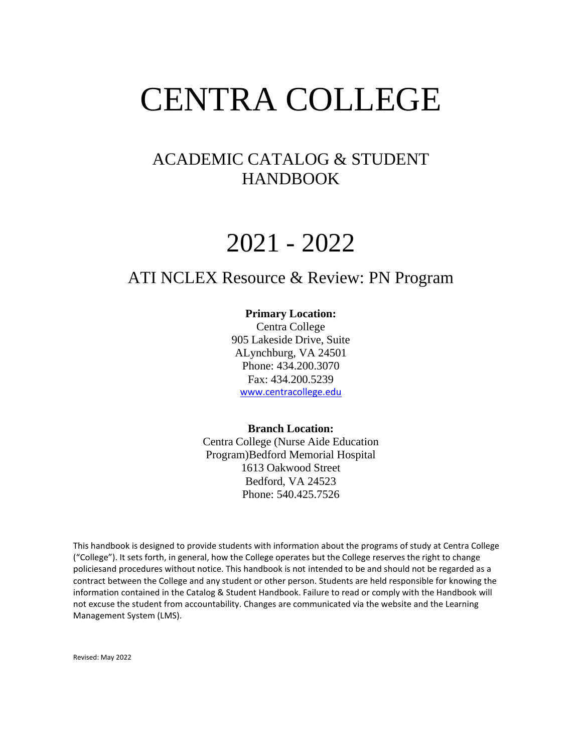# CENTRA COLLEGE

### ACADEMIC CATALOG & STUDENT HANDBOOK

# 2021 - 2022

## ATI NCLEX Resource & Review: PN Program

#### **Primary Location:**

Centra College 905 Lakeside Drive, Suite ALynchburg, VA 24501 Phone: 434.200.3070 Fax: 434.200.5239 [www.centracollege.edu](http://www.centracollege.edu/)

#### **Branch Location:**

Centra College (Nurse Aide Education Program)Bedford Memorial Hospital 1613 Oakwood Street Bedford, VA 24523 Phone: 540.425.7526

This handbook is designed to provide students with information about the programs of study at Centra College ("College"). It sets forth, in general, how the College operates but the College reserves the right to change policiesand procedures without notice. This handbook is not intended to be and should not be regarded as a contract between the College and any student or other person. Students are held responsible for knowing the information contained in the Catalog & Student Handbook. Failure to read or comply with the Handbook will not excuse the student from accountability. Changes are communicated via the website and the Learning Management System (LMS).

Revised: May 2022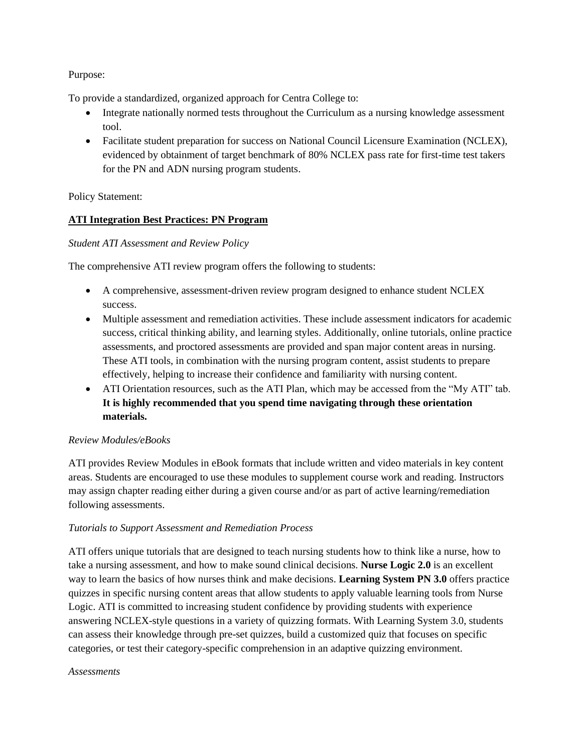#### Purpose:

To provide a standardized, organized approach for Centra College to:

- Integrate nationally normed tests throughout the Curriculum as a nursing knowledge assessment tool.
- Facilitate student preparation for success on National Council Licensure Examination (NCLEX), evidenced by obtainment of target benchmark of 80% NCLEX pass rate for first-time test takers for the PN and ADN nursing program students.

Policy Statement:

#### **ATI Integration Best Practices: PN Program**

#### *Student ATI Assessment and Review Policy*

The comprehensive ATI review program offers the following to students:

- A comprehensive, assessment-driven review program designed to enhance student NCLEX success.
- Multiple assessment and remediation activities. These include assessment indicators for academic success, critical thinking ability, and learning styles. Additionally, online tutorials, online practice assessments, and proctored assessments are provided and span major content areas in nursing. These ATI tools, in combination with the nursing program content, assist students to prepare effectively, helping to increase their confidence and familiarity with nursing content.
- ATI Orientation resources, such as the ATI Plan, which may be accessed from the "My ATI" tab. **It is highly recommended that you spend time navigating through these orientation materials.**

#### *Review Modules/eBooks*

ATI provides Review Modules in eBook formats that include written and video materials in key content areas. Students are encouraged to use these modules to supplement course work and reading. Instructors may assign chapter reading either during a given course and/or as part of active learning/remediation following assessments.

#### *Tutorials to Support Assessment and Remediation Process*

ATI offers unique tutorials that are designed to teach nursing students how to think like a nurse, how to take a nursing assessment, and how to make sound clinical decisions. **Nurse Logic 2.0** is an excellent way to learn the basics of how nurses think and make decisions. **Learning System PN 3.0** offers practice quizzes in specific nursing content areas that allow students to apply valuable learning tools from Nurse Logic. ATI is committed to increasing student confidence by providing students with experience answering NCLEX-style questions in a variety of quizzing formats. With Learning System 3.0, students can assess their knowledge through pre-set quizzes, build a customized quiz that focuses on specific categories, or test their category-specific comprehension in an adaptive quizzing environment.

#### *Assessments*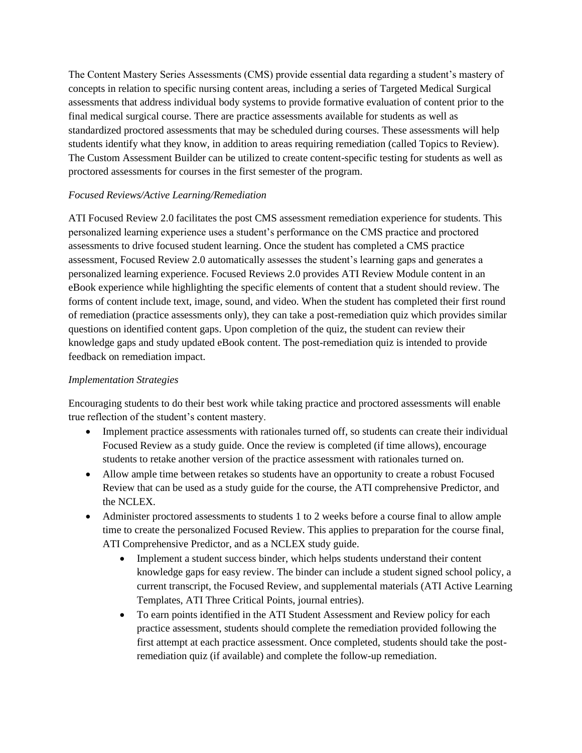The Content Mastery Series Assessments (CMS) provide essential data regarding a student's mastery of concepts in relation to specific nursing content areas, including a series of Targeted Medical Surgical assessments that address individual body systems to provide formative evaluation of content prior to the final medical surgical course. There are practice assessments available for students as well as standardized proctored assessments that may be scheduled during courses. These assessments will help students identify what they know, in addition to areas requiring remediation (called Topics to Review). The Custom Assessment Builder can be utilized to create content-specific testing for students as well as proctored assessments for courses in the first semester of the program.

#### *Focused Reviews/Active Learning/Remediation*

ATI Focused Review 2.0 facilitates the post CMS assessment remediation experience for students. This personalized learning experience uses a student's performance on the CMS practice and proctored assessments to drive focused student learning. Once the student has completed a CMS practice assessment, Focused Review 2.0 automatically assesses the student's learning gaps and generates a personalized learning experience. Focused Reviews 2.0 provides ATI Review Module content in an eBook experience while highlighting the specific elements of content that a student should review. The forms of content include text, image, sound, and video. When the student has completed their first round of remediation (practice assessments only), they can take a post-remediation quiz which provides similar questions on identified content gaps. Upon completion of the quiz, the student can review their knowledge gaps and study updated eBook content. The post-remediation quiz is intended to provide feedback on remediation impact.

#### *Implementation Strategies*

Encouraging students to do their best work while taking practice and proctored assessments will enable true reflection of the student's content mastery.

- Implement practice assessments with rationales turned off, so students can create their individual Focused Review as a study guide. Once the review is completed (if time allows), encourage students to retake another version of the practice assessment with rationales turned on.
- Allow ample time between retakes so students have an opportunity to create a robust Focused Review that can be used as a study guide for the course, the ATI comprehensive Predictor, and the NCLEX.
- Administer proctored assessments to students 1 to 2 weeks before a course final to allow ample time to create the personalized Focused Review. This applies to preparation for the course final, ATI Comprehensive Predictor, and as a NCLEX study guide.
	- Implement a student success binder, which helps students understand their content knowledge gaps for easy review. The binder can include a student signed school policy, a current transcript, the Focused Review, and supplemental materials (ATI Active Learning Templates, ATI Three Critical Points, journal entries).
	- To earn points identified in the ATI Student Assessment and Review policy for each practice assessment, students should complete the remediation provided following the first attempt at each practice assessment. Once completed, students should take the postremediation quiz (if available) and complete the follow-up remediation.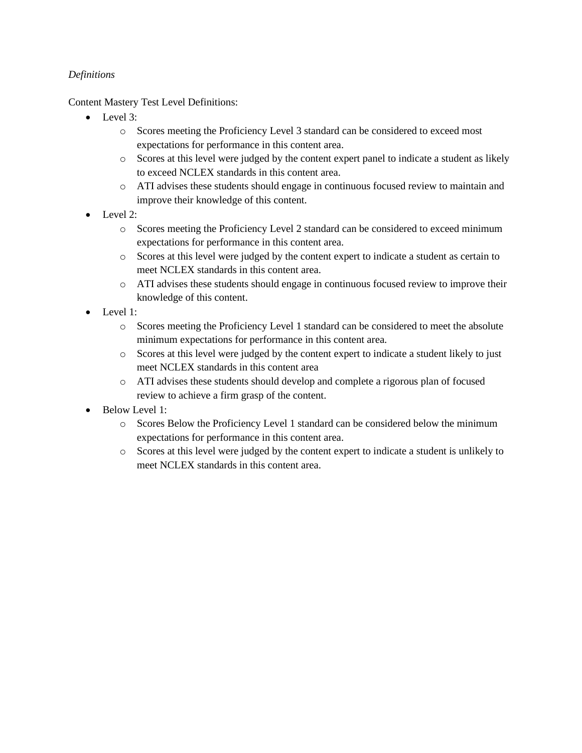#### *Definitions*

Content Mastery Test Level Definitions:

- Level 3:
	- o Scores meeting the Proficiency Level 3 standard can be considered to exceed most expectations for performance in this content area.
	- o Scores at this level were judged by the content expert panel to indicate a student as likely to exceed NCLEX standards in this content area.
	- o ATI advises these students should engage in continuous focused review to maintain and improve their knowledge of this content.
- Level 2:
	- o Scores meeting the Proficiency Level 2 standard can be considered to exceed minimum expectations for performance in this content area.
	- o Scores at this level were judged by the content expert to indicate a student as certain to meet NCLEX standards in this content area.
	- o ATI advises these students should engage in continuous focused review to improve their knowledge of this content.
- Level 1:
	- o Scores meeting the Proficiency Level 1 standard can be considered to meet the absolute minimum expectations for performance in this content area.
	- o Scores at this level were judged by the content expert to indicate a student likely to just meet NCLEX standards in this content area
	- o ATI advises these students should develop and complete a rigorous plan of focused review to achieve a firm grasp of the content.
- Below Level 1:
	- o Scores Below the Proficiency Level 1 standard can be considered below the minimum expectations for performance in this content area.
	- o Scores at this level were judged by the content expert to indicate a student is unlikely to meet NCLEX standards in this content area.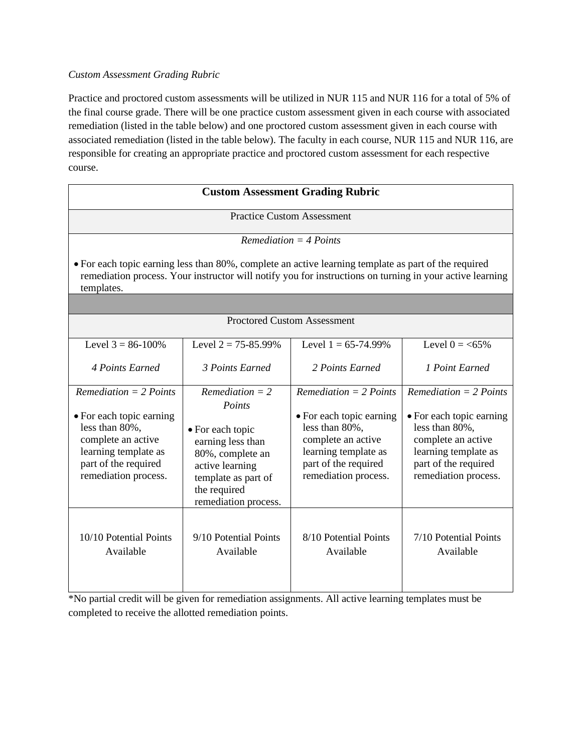#### *Custom Assessment Grading Rubric*

Practice and proctored custom assessments will be utilized in NUR 115 and NUR 116 for a total of 5% of the final course grade. There will be one practice custom assessment given in each course with associated remediation (listed in the table below) and one proctored custom assessment given in each course with associated remediation (listed in the table below). The faculty in each course, NUR 115 and NUR 116, are responsible for creating an appropriate practice and proctored custom assessment for each respective course.

| <b>Custom Assessment Grading Rubric</b>                                                                                                                                                                                                                    |                                                                                                                                                                            |                                                                                                                                                                      |                                                                                                                                                                      |
|------------------------------------------------------------------------------------------------------------------------------------------------------------------------------------------------------------------------------------------------------------|----------------------------------------------------------------------------------------------------------------------------------------------------------------------------|----------------------------------------------------------------------------------------------------------------------------------------------------------------------|----------------------------------------------------------------------------------------------------------------------------------------------------------------------|
|                                                                                                                                                                                                                                                            |                                                                                                                                                                            | <b>Practice Custom Assessment</b>                                                                                                                                    |                                                                                                                                                                      |
| $Remediation = 4 Points$<br>• For each topic earning less than 80%, complete an active learning template as part of the required<br>remediation process. Your instructor will notify you for instructions on turning in your active learning<br>templates. |                                                                                                                                                                            |                                                                                                                                                                      |                                                                                                                                                                      |
|                                                                                                                                                                                                                                                            |                                                                                                                                                                            |                                                                                                                                                                      |                                                                                                                                                                      |
| <b>Proctored Custom Assessment</b>                                                                                                                                                                                                                         |                                                                                                                                                                            |                                                                                                                                                                      |                                                                                                                                                                      |
| Level $3 = 86-100\%$                                                                                                                                                                                                                                       | Level $2 = 75 - 85.99\%$                                                                                                                                                   | Level $1 = 65-74.99\%$                                                                                                                                               | Level $0 = <65\%$                                                                                                                                                    |
| 4 Points Earned                                                                                                                                                                                                                                            | 3 Points Earned                                                                                                                                                            | 2 Points Earned                                                                                                                                                      | 1 Point Earned                                                                                                                                                       |
| $Remediation = 2$ Points<br>• For each topic earning<br>less than 80%,<br>complete an active<br>learning template as<br>part of the required<br>remediation process.                                                                                       | $Remediation = 2$<br>Points<br>• For each topic<br>earning less than<br>80%, complete an<br>active learning<br>template as part of<br>the required<br>remediation process. | $Remediation = 2$ Points<br>• For each topic earning<br>less than 80%,<br>complete an active<br>learning template as<br>part of the required<br>remediation process. | $Remediation = 2$ Points<br>• For each topic earning<br>less than 80%,<br>complete an active<br>learning template as<br>part of the required<br>remediation process. |
| 10/10 Potential Points<br>Available                                                                                                                                                                                                                        | 9/10 Potential Points<br>Available                                                                                                                                         | 8/10 Potential Points<br>Available                                                                                                                                   | 7/10 Potential Points<br>Available                                                                                                                                   |

\*No partial credit will be given for remediation assignments. All active learning templates must be completed to receive the allotted remediation points.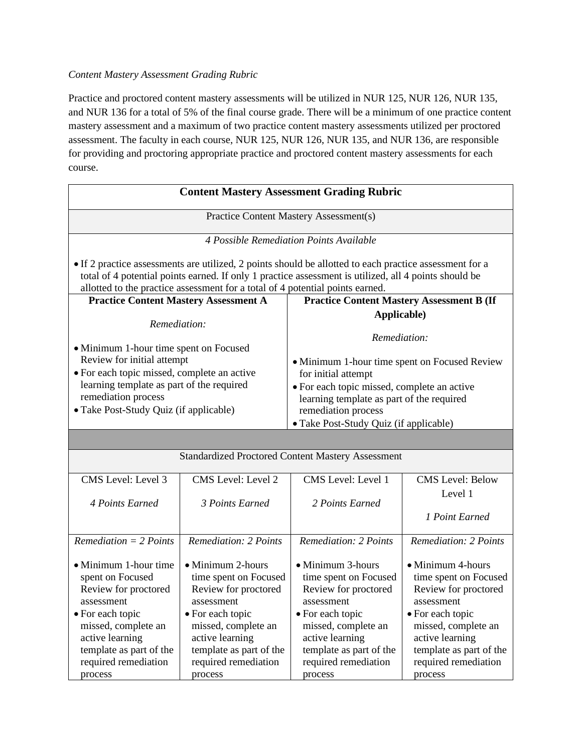#### *Content Mastery Assessment Grading Rubric*

Practice and proctored content mastery assessments will be utilized in NUR 125, NUR 126, NUR 135, and NUR 136 for a total of 5% of the final course grade. There will be a minimum of one practice content mastery assessment and a maximum of two practice content mastery assessments utilized per proctored assessment. The faculty in each course, NUR 125, NUR 126, NUR 135, and NUR 136, are responsible for providing and proctoring appropriate practice and proctored content mastery assessments for each course.

| <b>Content Mastery Assessment Grading Rubric</b>                                                                                                                                                                                                                                                  |                                                                                                                                                                                                              |                                                                                                                                                                                                                                   |                                                                                                                                                                                                              |
|---------------------------------------------------------------------------------------------------------------------------------------------------------------------------------------------------------------------------------------------------------------------------------------------------|--------------------------------------------------------------------------------------------------------------------------------------------------------------------------------------------------------------|-----------------------------------------------------------------------------------------------------------------------------------------------------------------------------------------------------------------------------------|--------------------------------------------------------------------------------------------------------------------------------------------------------------------------------------------------------------|
| <b>Practice Content Mastery Assessment(s)</b>                                                                                                                                                                                                                                                     |                                                                                                                                                                                                              |                                                                                                                                                                                                                                   |                                                                                                                                                                                                              |
|                                                                                                                                                                                                                                                                                                   |                                                                                                                                                                                                              | 4 Possible Remediation Points Available                                                                                                                                                                                           |                                                                                                                                                                                                              |
| • If 2 practice assessments are utilized, 2 points should be allotted to each practice assessment for a<br>total of 4 potential points earned. If only 1 practice assessment is utilized, all 4 points should be<br>allotted to the practice assessment for a total of 4 potential points earned. |                                                                                                                                                                                                              |                                                                                                                                                                                                                                   |                                                                                                                                                                                                              |
| <b>Practice Content Mastery Assessment A</b>                                                                                                                                                                                                                                                      |                                                                                                                                                                                                              | <b>Practice Content Mastery Assessment B (If</b>                                                                                                                                                                                  |                                                                                                                                                                                                              |
| Remediation:                                                                                                                                                                                                                                                                                      |                                                                                                                                                                                                              | Applicable)                                                                                                                                                                                                                       |                                                                                                                                                                                                              |
| • Minimum 1-hour time spent on Focused                                                                                                                                                                                                                                                            |                                                                                                                                                                                                              | Remediation:                                                                                                                                                                                                                      |                                                                                                                                                                                                              |
| Review for initial attempt<br>· For each topic missed, complete an active<br>learning template as part of the required<br>remediation process<br>• Take Post-Study Quiz (if applicable)                                                                                                           |                                                                                                                                                                                                              | • Minimum 1-hour time spent on Focused Review<br>for initial attempt<br>· For each topic missed, complete an active<br>learning template as part of the required<br>remediation process<br>• Take Post-Study Quiz (if applicable) |                                                                                                                                                                                                              |
|                                                                                                                                                                                                                                                                                                   |                                                                                                                                                                                                              |                                                                                                                                                                                                                                   |                                                                                                                                                                                                              |
| <b>Standardized Proctored Content Mastery Assessment</b>                                                                                                                                                                                                                                          |                                                                                                                                                                                                              |                                                                                                                                                                                                                                   |                                                                                                                                                                                                              |
| CMS Level: Level 3<br>4 Points Earned                                                                                                                                                                                                                                                             | CMS Level: Level 2<br>3 Points Earned                                                                                                                                                                        | CMS Level: Level 1<br>2 Points Earned                                                                                                                                                                                             | <b>CMS</b> Level: Below<br>Level 1                                                                                                                                                                           |
|                                                                                                                                                                                                                                                                                                   |                                                                                                                                                                                                              |                                                                                                                                                                                                                                   | 1 Point Earned                                                                                                                                                                                               |
| $Remediation = 2$ Points                                                                                                                                                                                                                                                                          | Remediation: 2 Points                                                                                                                                                                                        | Remediation: 2 Points                                                                                                                                                                                                             | Remediation: 2 Points                                                                                                                                                                                        |
| • Minimum 1-hour time<br>spent on Focused<br>Review for proctored<br>assessment<br>• For each topic<br>missed, complete an<br>active learning<br>template as part of the<br>required remediation<br>process                                                                                       | • Minimum 2-hours<br>time spent on Focused<br>Review for proctored<br>assessment<br>• For each topic<br>missed, complete an<br>active learning<br>template as part of the<br>required remediation<br>process | • Minimum 3-hours<br>time spent on Focused<br>Review for proctored<br>assessment<br>• For each topic<br>missed, complete an<br>active learning<br>template as part of the<br>required remediation<br>process                      | • Minimum 4-hours<br>time spent on Focused<br>Review for proctored<br>assessment<br>• For each topic<br>missed, complete an<br>active learning<br>template as part of the<br>required remediation<br>process |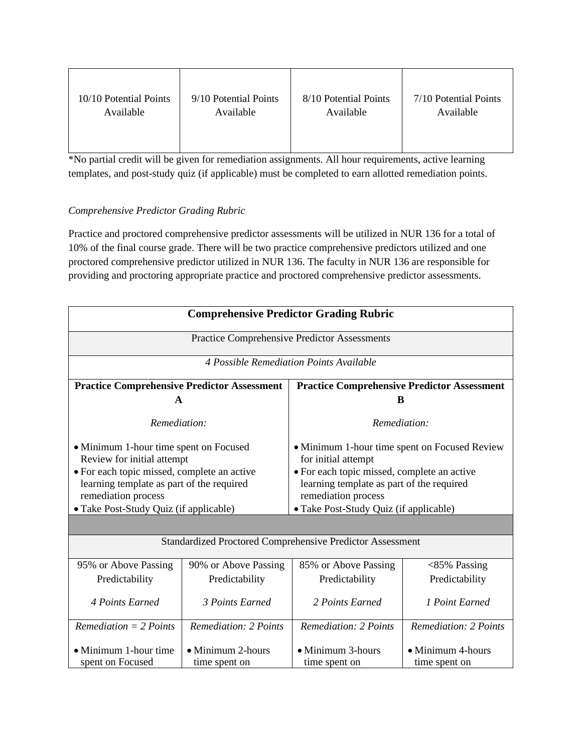| 10/10 Potential Points | 9/10 Potential Points | 8/10 Potential Points | 7/10 Potential Points |
|------------------------|-----------------------|-----------------------|-----------------------|
| Available              | Available             | Available             | Available             |
|                        |                       |                       |                       |

\*No partial credit will be given for remediation assignments. All hour requirements, active learning templates, and post-study quiz (if applicable) must be completed to earn allotted remediation points.

#### *Comprehensive Predictor Grading Rubric*

Practice and proctored comprehensive predictor assessments will be utilized in NUR 136 for a total of 10% of the final course grade. There will be two practice comprehensive predictors utilized and one proctored comprehensive predictor utilized in NUR 136. The faculty in NUR 136 are responsible for providing and proctoring appropriate practice and proctored comprehensive predictor assessments.

| <b>Comprehensive Predictor Grading Rubric</b>                                                                       |                                    |                                                                                                                     |                                    |
|---------------------------------------------------------------------------------------------------------------------|------------------------------------|---------------------------------------------------------------------------------------------------------------------|------------------------------------|
| Practice Comprehensive Predictor Assessments                                                                        |                                    |                                                                                                                     |                                    |
| 4 Possible Remediation Points Available                                                                             |                                    |                                                                                                                     |                                    |
| <b>Practice Comprehensive Predictor Assessment</b><br><b>Practice Comprehensive Predictor Assessment</b>            |                                    |                                                                                                                     |                                    |
| A                                                                                                                   |                                    |                                                                                                                     |                                    |
| Remediation:                                                                                                        |                                    | Remediation:                                                                                                        |                                    |
| • Minimum 1-hour time spent on Focused<br>Review for initial attempt<br>• For each topic missed, complete an active |                                    | • Minimum 1-hour time spent on Focused Review<br>for initial attempt<br>· For each topic missed, complete an active |                                    |
| learning template as part of the required<br>remediation process                                                    |                                    | learning template as part of the required<br>remediation process                                                    |                                    |
| • Take Post-Study Quiz (if applicable)                                                                              |                                    | • Take Post-Study Quiz (if applicable)                                                                              |                                    |
|                                                                                                                     |                                    |                                                                                                                     |                                    |
| Standardized Proctored Comprehensive Predictor Assessment                                                           |                                    |                                                                                                                     |                                    |
| 95% or Above Passing                                                                                                | 90% or Above Passing               | 85% or Above Passing                                                                                                | $<$ 85% Passing                    |
| Predictability                                                                                                      | Predictability                     | Predictability                                                                                                      | Predictability                     |
| 4 Points Earned                                                                                                     | 3 Points Earned                    | 2 Points Earned                                                                                                     | 1 Point Earned                     |
| $Remediation = 2$ Points                                                                                            | <b>Remediation: 2 Points</b>       | <b>Remediation: 2 Points</b>                                                                                        | <b>Remediation: 2 Points</b>       |
| • Minimum 1-hour time<br>spent on Focused                                                                           | • Minimum 2-hours<br>time spent on | • Minimum 3-hours<br>time spent on                                                                                  | • Minimum 4-hours<br>time spent on |